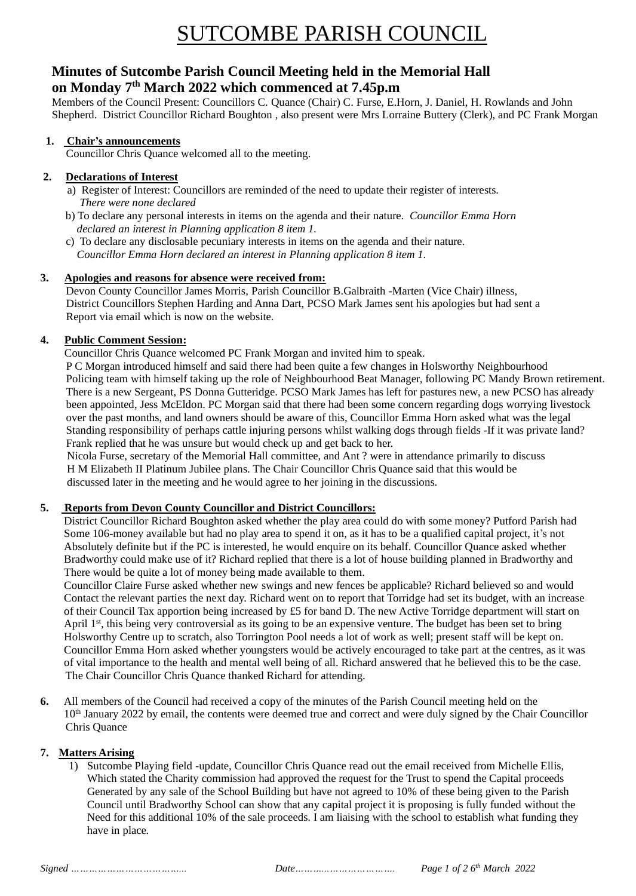# SUTCOMBE PARISH COUNCIL

## **Minutes of Sutcombe Parish Council Meeting held in the Memorial Hall on Monday 7 th March 2022 which commenced at 7.45p.m**

Members of the Council Present: Councillors C. Quance (Chair) C. Furse, E.Horn, J. Daniel, H. Rowlands and John Shepherd. District Councillor Richard Boughton , also present were Mrs Lorraine Buttery (Clerk), and PC Frank Morgan

#### **1. Chair's announcements**

Councillor Chris Quance welcomed all to the meeting.

#### **2. Declarations of Interest**

- a) Register of Interest: Councillors are reminded of the need to update their register of interests.  *There were none declared*
- b) To declare any personal interests in items on the agenda and their nature. *Councillor Emma Horn declared an interest in Planning application 8 item 1.*
- c) To declare any disclosable pecuniary interests in items on the agenda and their nature.  *Councillor Emma Horn declared an interest in Planning application 8 item 1.*

#### **3. Apologies and reasons for absence were received from:**

 Devon County Councillor James Morris, Parish Councillor B.Galbraith -Marten (Vice Chair) illness, District Councillors Stephen Harding and Anna Dart, PCSO Mark James sent his apologies but had sent a Report via email which is now on the website.

### **4. Public Comment Session:**

Councillor Chris Quance welcomed PC Frank Morgan and invited him to speak.

P C Morgan introduced himself and said there had been quite a few changes in Holsworthy Neighbourhood Policing team with himself taking up the role of Neighbourhood Beat Manager, following PC Mandy Brown retirement. There is a new Sergeant, PS Donna Gutteridge. PCSO Mark James has left for pastures new, a new PCSO has already been appointed, Jess McEldon. PC Morgan said that there had been some concern regarding dogs worrying livestock over the past months, and land owners should be aware of this, Councillor Emma Horn asked what was the legal Standing responsibility of perhaps cattle injuring persons whilst walking dogs through fields -If it was private land? Frank replied that he was unsure but would check up and get back to her.

Nicola Furse, secretary of the Memorial Hall committee, and Ant ? were in attendance primarily to discuss H M Elizabeth II Platinum Jubilee plans. The Chair Councillor Chris Quance said that this would be discussed later in the meeting and he would agree to her joining in the discussions.

#### **5. Reports from Devon County Councillor and District Councillors:**

District Councillor Richard Boughton asked whether the play area could do with some money? Putford Parish had Some 106-money available but had no play area to spend it on, as it has to be a qualified capital project, it's not Absolutely definite but if the PC is interested, he would enquire on its behalf. Councillor Quance asked whether Bradworthy could make use of it? Richard replied that there is a lot of house building planned in Bradworthy and There would be quite a lot of money being made available to them.

Councillor Claire Furse asked whether new swings and new fences be applicable? Richard believed so and would Contact the relevant parties the next day. Richard went on to report that Torridge had set its budget, with an increase of their Council Tax apportion being increased by £5 for band D. The new Active Torridge department will start on April 1<sup>st</sup>, this being very controversial as its going to be an expensive venture. The budget has been set to bring Holsworthy Centre up to scratch, also Torrington Pool needs a lot of work as well; present staff will be kept on. Councillor Emma Horn asked whether youngsters would be actively encouraged to take part at the centres, as it was of vital importance to the health and mental well being of all. Richard answered that he believed this to be the case. The Chair Councillor Chris Quance thanked Richard for attending.

**6.** All members of the Council had received a copy of the minutes of the Parish Council meeting held on the 10<sup>th</sup> January 2022 by email, the contents were deemed true and correct and were duly signed by the Chair Councillor Chris Quance

#### **7. Matters Arising**

1) Sutcombe Playing field -update, Councillor Chris Quance read out the email received from Michelle Ellis, Which stated the Charity commission had approved the request for the Trust to spend the Capital proceeds Generated by any sale of the School Building but have not agreed to 10% of these being given to the Parish Council until Bradworthy School can show that any capital project it is proposing is fully funded without the Need for this additional 10% of the sale proceeds. I am liaising with the school to establish what funding they have in place.

*Page 1 of 2 6<sup>th</sup> March 2022*